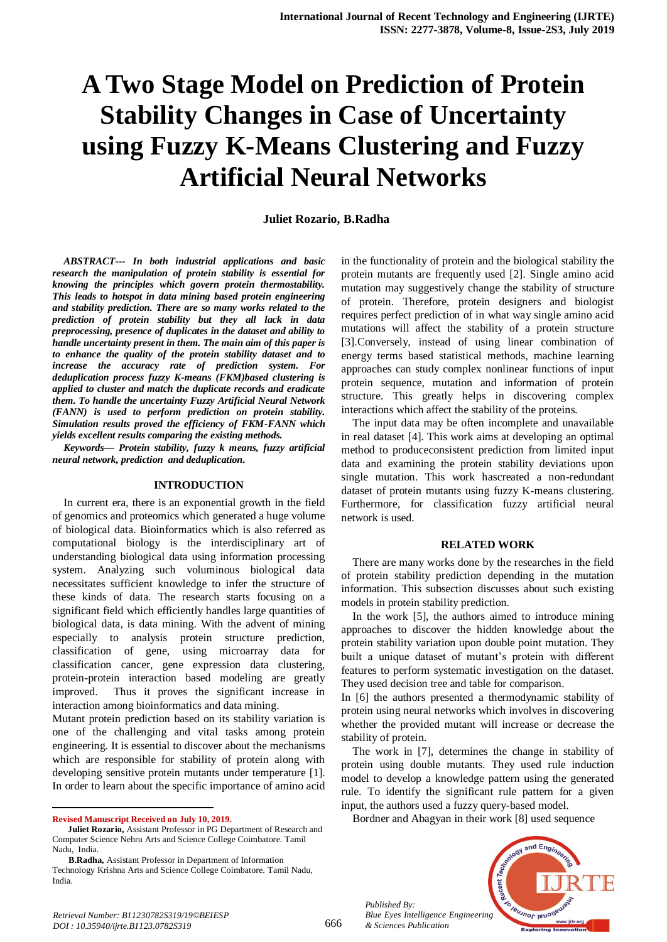# **A Two Stage Model on Prediction of Protein Stability Changes in Case of Uncertainty using Fuzzy K-Means Clustering and Fuzzy Artificial Neural Networks**

#### **Juliet Rozario, B.Radha**

*ABSTRACT--- In both industrial applications and basic research the manipulation of protein stability is essential for knowing the principles which govern protein thermostability. This leads to hotspot in data mining based protein engineering and stability prediction. There are so many works related to the prediction of protein stability but they all lack in data preprocessing, presence of duplicates in the dataset and ability to handle uncertainty present in them. The main aim of this paper is to enhance the quality of the protein stability dataset and to increase the accuracy rate of prediction system. For deduplication process fuzzy K-means (FKM)based clustering is applied to cluster and match the duplicate records and eradicate them. To handle the uncertainty Fuzzy Artificial Neural Network (FANN) is used to perform prediction on protein stability. Simulation results proved the efficiency of FKM-FANN which yields excellent results comparing the existing methods.*

*Keywords— Protein stability, fuzzy k means, fuzzy artificial neural network, prediction and deduplication.*

#### **INTRODUCTION**

In current era, there is an exponential growth in the field of genomics and proteomics which generated a huge volume of biological data. Bioinformatics which is also referred as computational biology is the interdisciplinary art of understanding biological data using information processing system. Analyzing such voluminous biological data necessitates sufficient knowledge to infer the structure of these kinds of data. The research starts focusing on a significant field which efficiently handles large quantities of biological data, is data mining. With the advent of mining especially to analysis protein structure prediction, classification of gene, using microarray data for classification cancer, gene expression data clustering, protein-protein interaction based modeling are greatly improved. Thus it proves the significant increase in interaction among bioinformatics and data mining.

Mutant protein prediction based on its stability variation is one of the challenging and vital tasks among protein engineering. It is essential to discover about the mechanisms which are responsible for stability of protein along with developing sensitive protein mutants under temperature [1]. In order to learn about the specific importance of amino acid

**Revised Manuscript Received on July 10, 2019.**

 $\overline{a}$ 

 **Juliet Rozario,** Assistant Professor in PG Department of Research and Computer Science Nehru Arts and Science College Coimbatore. Tamil Nadu, India.

**B.Radha,** Assistant Professor in Department of Information Technology Krishna Arts and Science College Coimbatore. Tamil Nadu, India.

in the functionality of protein and the biological stability the protein mutants are frequently used [2]. Single amino acid mutation may suggestively change the stability of structure of protein. Therefore, protein designers and biologist requires perfect prediction of in what way single amino acid mutations will affect the stability of a protein structure [3].Conversely, instead of using linear combination of energy terms based statistical methods, machine learning approaches can study complex nonlinear functions of input protein sequence, mutation and information of protein structure. This greatly helps in discovering complex interactions which affect the stability of the proteins.

The input data may be often incomplete and unavailable in real dataset [4]. This work aims at developing an optimal method to produceconsistent prediction from limited input data and examining the protein stability deviations upon single mutation. This work hascreated a non-redundant dataset of protein mutants using fuzzy K-means clustering. Furthermore, for classification fuzzy artificial neural network is used.

#### **RELATED WORK**

There are many works done by the researches in the field of protein stability prediction depending in the mutation information. This subsection discusses about such existing models in protein stability prediction.

In the work [5], the authors aimed to introduce mining approaches to discover the hidden knowledge about the protein stability variation upon double point mutation. They built a unique dataset of mutant's protein with different features to perform systematic investigation on the dataset. They used decision tree and table for comparison.

In [6] the authors presented a thermodynamic stability of protein using neural networks which involves in discovering whether the provided mutant will increase or decrease the stability of protein.

The work in [7], determines the change in stability of protein using double mutants. They used rule induction model to develop a knowledge pattern using the generated rule. To identify the significant rule pattern for a given input, the authors used a fuzzy query-based model.

Bordner and Abagyan in their work [8] used sequence



*Published By:*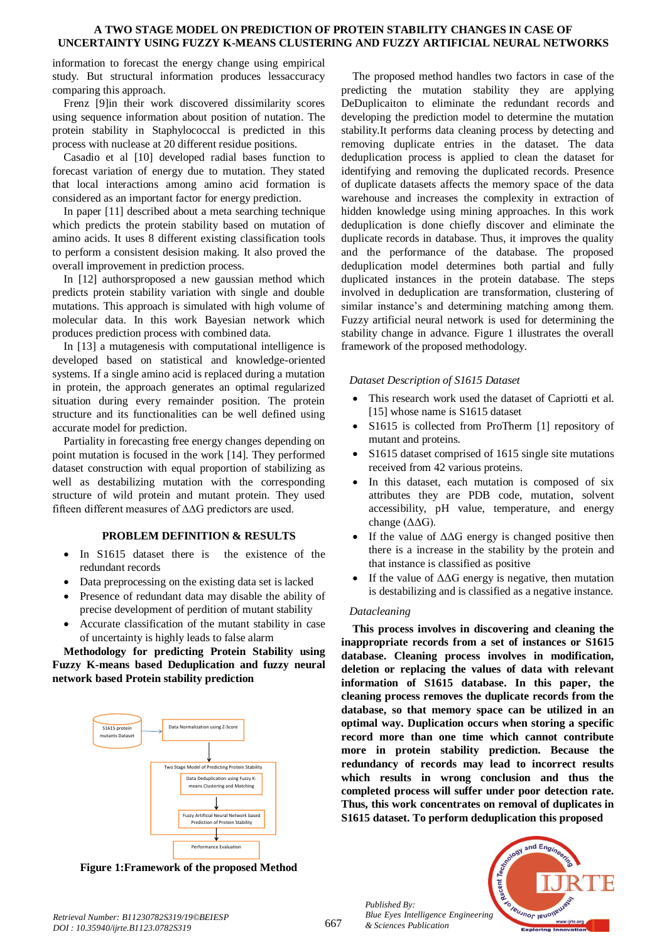# **A TWO STAGE MODEL ON PREDICTION OF PROTEIN STABILITY CHANGES IN CASE OF UNCERTAINTY USING FUZZY K-MEANS CLUSTERING AND FUZZY ARTIFICIAL NEURAL NETWORKS**

information to forecast the energy change using empirical study. But structural information produces lessaccuracy comparing this approach.

Frenz [9]in their work discovered dissimilarity scores using sequence information about position of nutation. The protein stability in Staphylococcal is predicted in this process with nuclease at 20 different residue positions.

Casadio et al [10] developed radial bases function to forecast variation of energy due to mutation. They stated that local interactions among amino acid formation is considered as an important factor for energy prediction.

In paper [11] described about a meta searching technique which predicts the protein stability based on mutation of amino acids. It uses 8 different existing classification tools to perform a consistent desision making. It also proved the overall improvement in prediction process.

In [12] authorsproposed a new gaussian method which predicts protein stability variation with single and double mutations. This approach is simulated with high volume of molecular data. In this work Bayesian network which produces prediction process with combined data.

In [13] a mutagenesis with computational intelligence is developed based on statistical and knowledge-oriented systems. If a single amino acid is replaced during a mutation in protein, the approach generates an optimal regularized situation during every remainder position. The protein structure and its functionalities can be well defined using accurate model for prediction.

Partiality in forecasting free energy changes depending on point mutation is focused in the work [14]. They performed dataset construction with equal proportion of stabilizing as well as destabilizing mutation with the corresponding structure of wild protein and mutant protein. They used fifteen different measures of ∆∆G predictors are used.

# **PROBLEM DEFINITION & RESULTS**

- In S1615 dataset there is the existence of the redundant records
- Data preprocessing on the existing data set is lacked
- Presence of redundant data may disable the ability of precise development of perdition of mutant stability
- Accurate classification of the mutant stability in case of uncertainty is highly leads to false alarm

**Methodology for predicting Protein Stability using Fuzzy K-means based Deduplication and fuzzy neural network based Protein stability prediction**



**Figure 1:Framework of the proposed Method**

The proposed method handles two factors in case of the predicting the mutation stability they are applying DeDuplicaiton to eliminate the redundant records and developing the prediction model to determine the mutation stability.It performs data cleaning process by detecting and removing duplicate entries in the dataset. The data deduplication process is applied to clean the dataset for identifying and removing the duplicated records. Presence of duplicate datasets affects the memory space of the data warehouse and increases the complexity in extraction of hidden knowledge using mining approaches. In this work deduplication is done chiefly discover and eliminate the duplicate records in database. Thus, it improves the quality and the performance of the database. The proposed deduplication model determines both partial and fully duplicated instances in the protein database. The steps involved in deduplication are transformation, clustering of similar instance's and determining matching among them. Fuzzy artificial neural network is used for determining the stability change in advance. Figure 1 illustrates the overall framework of the proposed methodology.

# *Dataset Description of S1615 Dataset*

- This research work used the dataset of Capriotti et al. [15] whose name is S1615 dataset
- S1615 is collected from ProTherm [1] repository of mutant and proteins.
- S1615 dataset comprised of 1615 single site mutations received from 42 various proteins.
- In this dataset, each mutation is composed of six attributes they are PDB code, mutation, solvent accessibility, pH value, temperature, and energy change (ΔΔG).
- If the value of  $\Delta\Delta G$  energy is changed positive then there is a increase in the stability by the protein and that instance is classified as positive
- If the value of  $\Delta\Delta G$  energy is negative, then mutation is destabilizing and is classified as a negative instance.

# *Datacleaning*

**This process involves in discovering and cleaning the inappropriate records from a set of instances or S1615 database. Cleaning process involves in modification, deletion or replacing the values of data with relevant information of S1615 database. In this paper, the cleaning process removes the duplicate records from the database, so that memory space can be utilized in an optimal way. Duplication occurs when storing a specific record more than one time which cannot contribute more in protein stability prediction. Because the redundancy of records may lead to incorrect results which results in wrong conclusion and thus the completed process will suffer under poor detection rate. Thus, this work concentrates on removal of duplicates in S1615 dataset. To perform deduplication this proposed** 

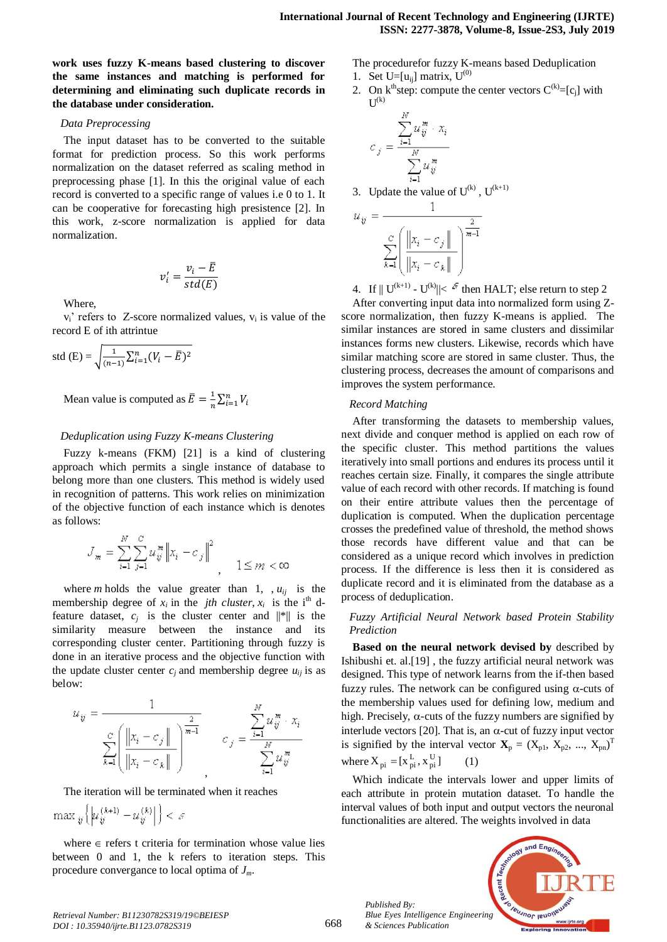**work uses fuzzy K-means based clustering to discover the same instances and matching is performed for determining and eliminating such duplicate records in the database under consideration.**

#### *Data Preprocessing*

The input dataset has to be converted to the suitable format for prediction process. So this work performs normalization on the dataset referred as scaling method in preprocessing phase [1]. In this the original value of each record is converted to a specific range of values i.e 0 to 1. It can be cooperative for forecasting high presistence [2]. In this work, z-score normalization is applied for data normalization.

$$
v_i' = \frac{v_i - \bar{E}}{std(E)}
$$

Where,

 $v_i'$  refers to Z-score normalized values,  $v_i$  is value of the record E of ith attrintue

std (E) = 
$$
\sqrt{\frac{1}{(n-1)}\sum_{i=1}^{n} (V_i - \bar{E})^2}
$$

Mean value is computed as  $\bar{E} = \frac{1}{n}$  $\frac{1}{n}\sum_{i=1}^{n}$ 

# *Deduplication using Fuzzy K-means Clustering*

Fuzzy k-means (FKM) [21] is a kind of clustering approach which permits a single instance of database to belong more than one clusters. This method is widely used in recognition of patterns. This work relies on minimization of the objective function of each instance which is denotes as follows:

$$
\mathcal{J}_m = \sum_{i=1}^N \sum_{j=1}^C u_{ij}^m \left\| x_i - c_j \right\|^2
$$
\n
$$
\left\| x_i - c_j \right\|^2
$$
\n
$$
\left\| x_i - c_j \right\|^2
$$
\n
$$
\left\| x_i - c_j \right\|^2
$$

where *m* holds the value greater than 1,  $, u_{ij}$  is the membership degree of  $x_i$  in the *jth cluster*,  $x_i$  is the i<sup>th</sup> dfeature dataset,  $c_j$  is the cluster center and  $\|\cdot\|$  is the similarity measure between the instance and its corresponding cluster center. Partitioning through fuzzy is done in an iterative process and the objective function with the update cluster center  $c_j$  and membership degree  $u_{ij}$  is as below:

$$
u_{ij} = \frac{1}{\sum_{k=1}^{C} \left( \frac{||x_i - c_j||}{||x_i - c_k||} \right)^{\frac{2}{m-1}}} \qquad c_j = \frac{\sum_{i=1}^{N} u_{ij}^m \cdot x_i}{\sum_{i=1}^{N} u_{ij}^m}
$$

The iteration will be terminated when it reaches

 $\max\nolimits_{\boldsymbol{y}}\left\{\left|\boldsymbol{\mu}^{\left(k+1\right)}_{\boldsymbol{y}}-\boldsymbol{\mu}^{\left(k\right)}_{\boldsymbol{y}}\right|\right\}<\varepsilon$ 

where  $\in$  refers t criteria for termination whose value lies between 0 and 1, the k refers to iteration steps. This procedure convergance to local optima of *Jm*.

The procedurefor fuzzy K-means based Deduplication 1. Set U=[ $u_{ii}$ ] matrix,  $U^{(0)}$ 

- 
- 2. On  $k^{th}$ step: compute the center vectors  $C^{(k)}=[c_j]$  with  $U^{(k)}$

$$
c_j = \frac{\sum_{i=1}^N u_{ij}^m \cdot x_i}{\sum_{i=1}^N u_{ij}^m}
$$

3. Update the value of 
$$
U^{(k)}
$$
,  $U^{(k+1)}$ 

$$
y = \frac{1}{\sum_{k=1}^{C} \left( \frac{\left\| x_i - c_j \right\|}{\left\| x_i - c_k \right\|} \right)^{\frac{2}{m-1}}}
$$

4. If  $||U^{(k+1)} - U^{(k)}|| < \epsilon^{\epsilon}$  then HALT; else return to step 2

After converting input data into normalized form using Zscore normalization, then fuzzy K-means is applied. The similar instances are stored in same clusters and dissimilar instances forms new clusters. Likewise, records which have similar matching score are stored in same cluster. Thus, the clustering process, decreases the amount of comparisons and improves the system performance.

#### *Record Matching*

ź.

After transforming the datasets to membership values, next divide and conquer method is applied on each row of the specific cluster. This method partitions the values iteratively into small portions and endures its process until it reaches certain size. Finally, it compares the single attribute value of each record with other records. If matching is found on their entire attribute values then the percentage of duplication is computed. When the duplication percentage crosses the predefined value of threshold, the method shows those records have different value and that can be considered as a unique record which involves in prediction process. If the difference is less then it is considered as duplicate record and it is eliminated from the database as a process of deduplication.

*Fuzzy Artificial Neural Network based Protein Stability Prediction*

**Based on the neural network devised by** described by Ishibushi et. al.[19] , the fuzzy artificial neural network was designed. This type of network learns from the if-then based fuzzy rules. The network can be configured using  $\alpha$ -cuts of the membership values used for defining low, medium and high. Precisely,  $\alpha$ -cuts of the fuzzy numbers are signified by interlude vectors [20]. That is, an  $\alpha$ -cut of fuzzy input vector is signified by the interval vector  $X_p = (X_{p1}, X_{p2}, ..., X_{pn})^T$ where  $X_{pi} = [x_{pi}^L, x_{pi}^U]$ (1)

Which indicate the intervals lower and upper limits of each attribute in protein mutation dataset. To handle the interval values of both input and output vectors the neuronal functionalities are altered. The weights involved in data



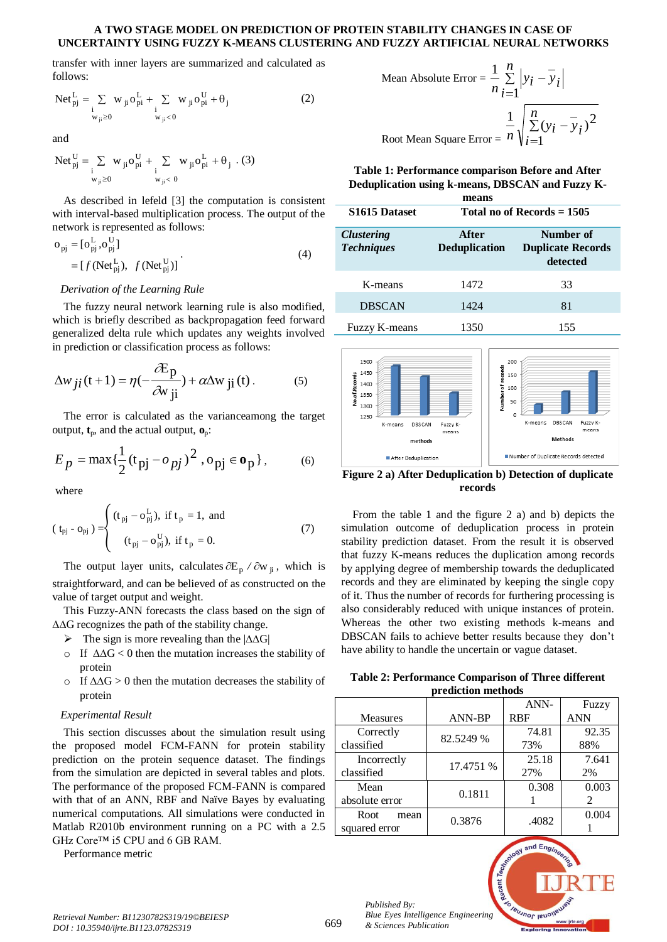#### **A TWO STAGE MODEL ON PREDICTION OF PROTEIN STABILITY CHANGES IN CASE OF UNCERTAINTY USING FUZZY K-MEANS CLUSTERING AND FUZZY ARTIFICIAL NEURAL NETWORKS**

transfer with inner layers are summarized and calculated as follows:

$$
Net_{pj}^{L} = \sum_{\substack{i \\ w_{ji} \ge 0}} w_{ji} o_{pi}^{L} + \sum_{\substack{i \\ w_{ji} < 0}} w_{ji} o_{pi}^{U} + \theta_{j} \tag{2}
$$

and

$$
Net_{pj}^U = \mathop{\textstyle \sum}_{\substack{i \\ w_{ji} \geq 0}} w_{ji}o_{pi}^U + \mathop{\textstyle \sum}_{\substack{i \\ w_{ji} < 0}} w_{ji}o_{pi}^L + \theta_j\ \, . \eqno(3)
$$

As described in lefeld [3] the computation is consistent with interval-based multiplication process. The output of the network is represented as follows:

$$
\begin{aligned} \n\mathbf{o}_{\text{pj}} &= [\mathbf{o}_{\text{pj}}^{\text{L}}, \mathbf{o}_{\text{pj}}^{\text{U}}] \\ \n&= [f(\text{Net}_{\text{pj}}^{\text{L}}), \ f(\text{Net}_{\text{pj}}^{\text{U}})] \n\end{aligned} \tag{4}
$$

#### *Derivation of the Learning Rule*

The fuzzy neural network learning rule is also modified, which is briefly described as backpropagation feed forward generalized delta rule which updates any weights involved in prediction or classification process as follows:

$$
\Delta w_{ji}(t+1) = \eta(-\frac{\partial E_p}{\partial w_{ji}}) + \alpha \Delta w_{ji}(t). \tag{5}
$$

The error is calculated as the varianceamong the target output, **t**p, and the actual output, **o**p:

$$
E_p = \max{\frac{1}{2}(t_{pj} - o_{pj})^2, o_{pj} \in \mathbf{o}_p},
$$
 (6)

where

$$
(\mathbf{t}_{\mathbf{p}j} - \mathbf{o}_{\mathbf{p}j}) = \begin{cases} (\mathbf{t}_{\mathbf{p}j} - \mathbf{o}_{\mathbf{p}j}^{\mathbf{L}}), & \text{if } \mathbf{t}_{\mathbf{p}} = 1, \text{ and} \\ (\mathbf{t}_{\mathbf{p}j} - \mathbf{o}_{\mathbf{p}j}^{\mathbf{U}}), & \text{if } \mathbf{t}_{\mathbf{p}} = 0. \end{cases}
$$
 (7)

The output layer units, calculates  $\partial E_p / \partial w_{ji}$ , which is straightforward, and can be believed of as constructed on the value of target output and weight.

This Fuzzy-ANN forecasts the class based on the sign of  $\Delta\Delta G$  recognizes the path of the stability change.

- $\triangleright$  The sign is more revealing than the  $|\Delta\Delta G|$
- o If  $\Delta\Delta G < 0$  then the mutation increases the stability of protein
- $\circ$  If  $\Delta\Delta G > 0$  then the mutation decreases the stability of protein

# *Experimental Result*

This section discusses about the simulation result using the proposed model FCM-FANN for protein stability prediction on the protein sequence dataset. The findings from the simulation are depicted in several tables and plots. The performance of the proposed FCM-FANN is compared with that of an ANN, RBF and Naïve Bayes by evaluating numerical computations. All simulations were conducted in Matlab R2010b environment running on a PC with a 2.5 GHz Core™ i5 CPU and 6 GB RAM.

Performance metric

Mean Absolute Error = 
$$
\frac{1}{n} \sum_{i=1}^{n} |y_i - \overline{y}_i|
$$
  
Root Mean Square Error = 
$$
\frac{1}{n} \sqrt{\sum_{i=1}^{n} (y_i - \overline{y}_i)^2}
$$

**Table 1: Performance comparison Before and After Deduplication using k-means, DBSCAN and Fuzzy K-**

| means                                  |                               |                                                   |  |  |
|----------------------------------------|-------------------------------|---------------------------------------------------|--|--|
| S1615 Dataset                          | Total no of Records $= 1505$  |                                                   |  |  |
| <b>Clustering</b><br><b>Techniques</b> | After<br><b>Deduplication</b> | Number of<br><b>Duplicate Records</b><br>detected |  |  |
| K-means                                | 1472                          | 33                                                |  |  |
| <b>DBSCAN</b>                          | 1424                          | 81                                                |  |  |
| <b>Fuzzy K-means</b>                   | 1350                          | 155                                               |  |  |



**Figure 2 a) After Deduplication b) Detection of duplicate records**

From the table 1 and the figure 2 a) and b) depicts the simulation outcome of deduplication process in protein stability prediction dataset. From the result it is observed that fuzzy K-means reduces the duplication among records by applying degree of membership towards the deduplicated records and they are eliminated by keeping the single copy of it. Thus the number of records for furthering processing is also considerably reduced with unique instances of protein. Whereas the other two existing methods k-means and DBSCAN fails to achieve better results because they don't have ability to handle the uncertain or vague dataset.

**Table 2: Performance Comparison of Three different prediction methods**

| ргсансион ністіош |               |            |       |
|-------------------|---------------|------------|-------|
|                   |               | ANN-       | Fuzzy |
| <b>Measures</b>   | <b>ANN-BP</b> | <b>RBF</b> | ANN   |
| Correctly         | 82.5249 %     | 74.81      | 92.35 |
| classified        |               | 73%        | 88%   |
| Incorrectly       | 17.4751 %     | 25.18      | 7.641 |
| classified        |               | 27%        | 2%    |
| Mean              | 0.1811        | 0.308      | 0.003 |
| absolute error    |               |            | 2     |
| Root<br>mean      | 0.3876        | .4082      | 0.004 |
| squared error     |               |            |       |



*Published By:*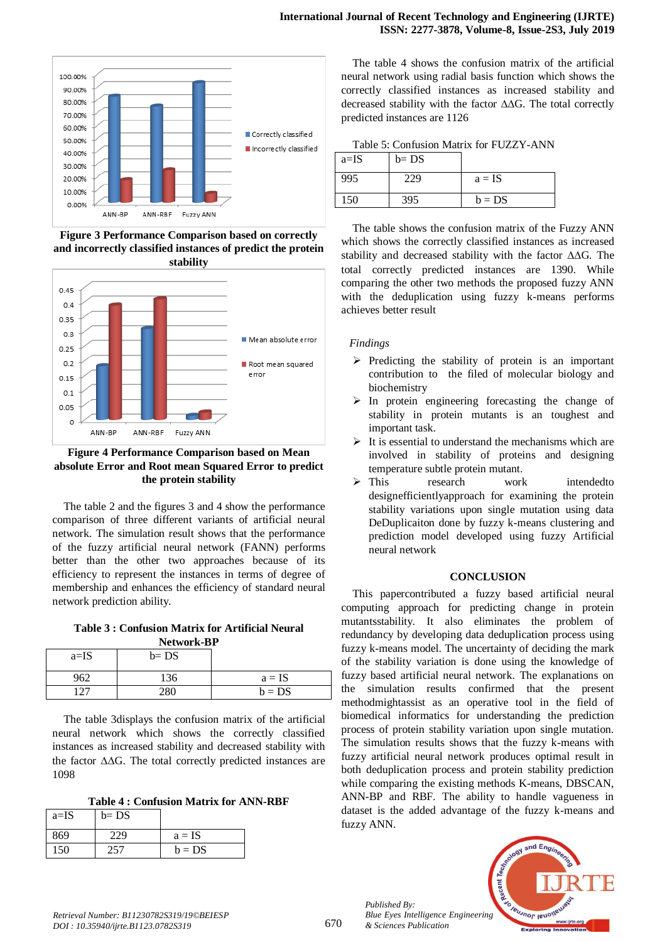

**Figure 3 Performance Comparison based on correctly and incorrectly classified instances of predict the protein stability**



**Figure 4 Performance Comparison based on Mean absolute Error and Root mean Squared Error to predict the protein stability**

The table 2 and the figures 3 and 4 show the performance comparison of three different variants of artificial neural network. The simulation result shows that the performance of the fuzzy artificial neural network (FANN) performs better than the other two approaches because of its efficiency to represent the instances in terms of degree of membership and enhances the efficiency of standard neural network prediction ability.

**Table 3 : Confusion Matrix for Artificial Neural Network-BP**

| $a=IS$ | $b = DS$ |          |
|--------|----------|----------|
| 962    | 136      | $a = IS$ |
| 1つワ    |          | $b = DS$ |

The table 3displays the confusion matrix of the artificial neural network which shows the correctly classified instances as increased stability and decreased stability with the factor  $\Delta\Delta G$ . The total correctly predicted instances are 1098

**Table 4 : Confusion Matrix for ANN-RBF**

| $a=IS$ | $b = DS$ |          |
|--------|----------|----------|
| 869    | 229      | $a = IS$ |
| 150    | 257      | $b = DS$ |

The table 4 shows the confusion matrix of the artificial neural network using radial basis function which shows the correctly classified instances as increased stability and decreased stability with the factor  $\Delta\Delta G$ . The total correctly predicted instances are 1126

Table 5: Confusion Matrix for FUZZY-ANN  $\overline{L}$  DC

| a=1S | $D = DS$ |          |
|------|----------|----------|
| 995  | 229      | $a = IS$ |
| 150  | 395      | $b = DS$ |

The table shows the confusion matrix of the Fuzzy ANN which shows the correctly classified instances as increased stability and decreased stability with the factor  $\Delta\Delta G$ . The total correctly predicted instances are 1390. While comparing the other two methods the proposed fuzzy ANN with the deduplication using fuzzy k-means performs achieves better result

# *Findings*

- $\triangleright$  Predicting the stability of protein is an important contribution to the filed of molecular biology and biochemistry
- $\triangleright$  In protein engineering forecasting the change of stability in protein mutants is an toughest and important task.
- $\triangleright$  It is essential to understand the mechanisms which are involved in stability of proteins and designing temperature subtle protein mutant.
- > This research work intended to designefficientlyapproach for examining the protein stability variations upon single mutation using data DeDuplicaiton done by fuzzy k-means clustering and prediction model developed using fuzzy Artificial neural network

# **CONCLUSION**

This papercontributed a fuzzy based artificial neural computing approach for predicting change in protein mutantsstability. It also eliminates the problem of redundancy by developing data deduplication process using fuzzy k-means model. The uncertainty of deciding the mark of the stability variation is done using the knowledge of fuzzy based artificial neural network. The explanations on the simulation results confirmed that the present methodmightassist as an operative tool in the field of biomedical informatics for understanding the prediction process of protein stability variation upon single mutation. The simulation results shows that the fuzzy k-means with fuzzy artificial neural network produces optimal result in both deduplication process and protein stability prediction while comparing the existing methods K-means, DBSCAN, ANN-BP and RBF. The ability to handle vagueness in dataset is the added advantage of the fuzzy k-means and fuzzy ANN.



*Published By:*